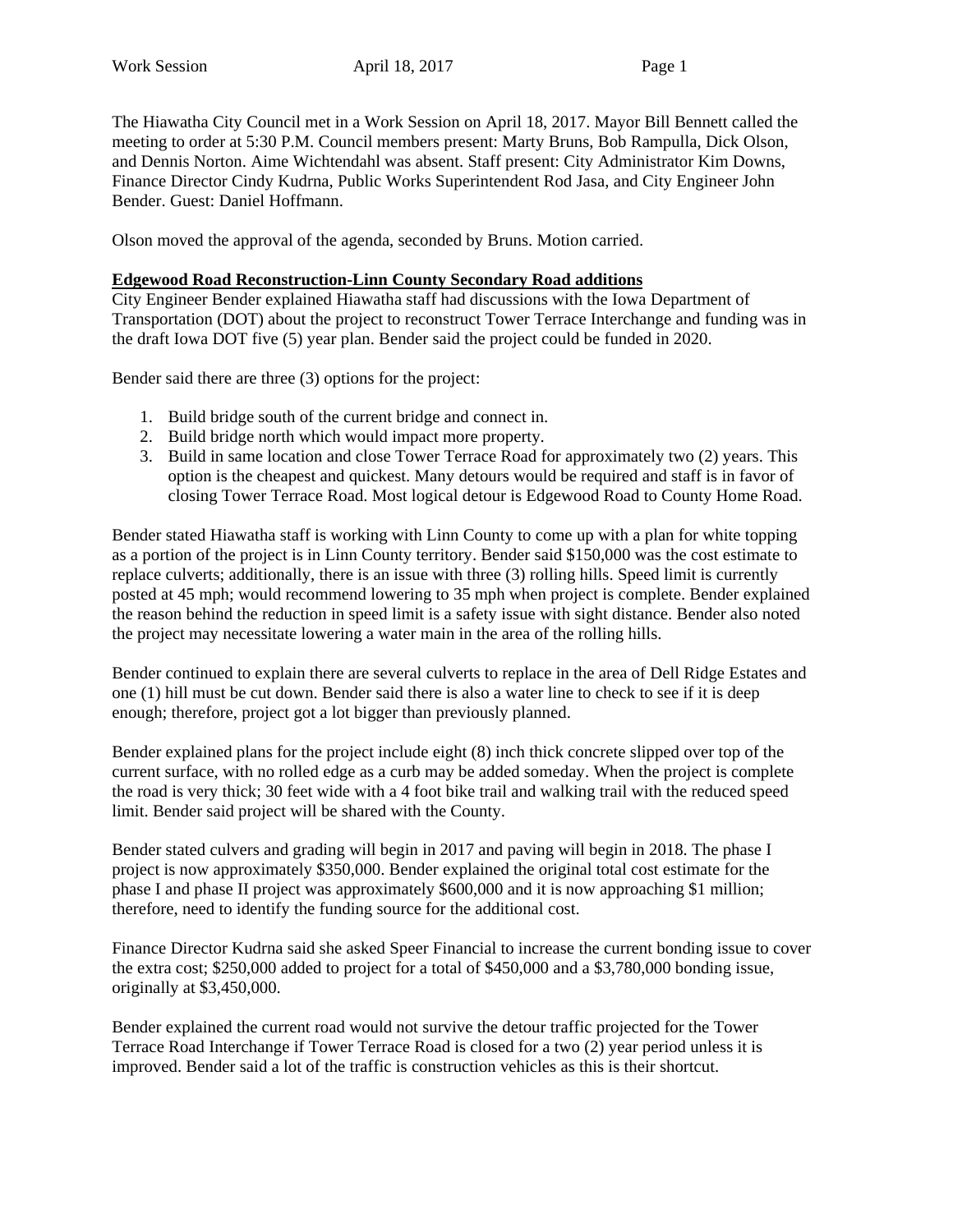The Hiawatha City Council met in a Work Session on April 18, 2017. Mayor Bill Bennett called the meeting to order at 5:30 P.M. Council members present: Marty Bruns, Bob Rampulla, Dick Olson, and Dennis Norton. Aime Wichtendahl was absent. Staff present: City Administrator Kim Downs, Finance Director Cindy Kudrna, Public Works Superintendent Rod Jasa, and City Engineer John Bender. Guest: Daniel Hoffmann.

Olson moved the approval of the agenda, seconded by Bruns. Motion carried.

## **Edgewood Road Reconstruction-Linn County Secondary Road additions**

City Engineer Bender explained Hiawatha staff had discussions with the Iowa Department of Transportation (DOT) about the project to reconstruct Tower Terrace Interchange and funding was in the draft Iowa DOT five (5) year plan. Bender said the project could be funded in 2020.

Bender said there are three (3) options for the project:

- 1. Build bridge south of the current bridge and connect in.
- 2. Build bridge north which would impact more property.
- 3. Build in same location and close Tower Terrace Road for approximately two (2) years. This option is the cheapest and quickest. Many detours would be required and staff is in favor of closing Tower Terrace Road. Most logical detour is Edgewood Road to County Home Road.

Bender stated Hiawatha staff is working with Linn County to come up with a plan for white topping as a portion of the project is in Linn County territory. Bender said \$150,000 was the cost estimate to replace culverts; additionally, there is an issue with three (3) rolling hills. Speed limit is currently posted at 45 mph; would recommend lowering to 35 mph when project is complete. Bender explained the reason behind the reduction in speed limit is a safety issue with sight distance. Bender also noted the project may necessitate lowering a water main in the area of the rolling hills.

Bender continued to explain there are several culverts to replace in the area of Dell Ridge Estates and one (1) hill must be cut down. Bender said there is also a water line to check to see if it is deep enough; therefore, project got a lot bigger than previously planned.

Bender explained plans for the project include eight (8) inch thick concrete slipped over top of the current surface, with no rolled edge as a curb may be added someday. When the project is complete the road is very thick; 30 feet wide with a 4 foot bike trail and walking trail with the reduced speed limit. Bender said project will be shared with the County.

Bender stated culvers and grading will begin in 2017 and paving will begin in 2018. The phase I project is now approximately \$350,000. Bender explained the original total cost estimate for the phase I and phase II project was approximately \$600,000 and it is now approaching \$1 million; therefore, need to identify the funding source for the additional cost.

Finance Director Kudrna said she asked Speer Financial to increase the current bonding issue to cover the extra cost; \$250,000 added to project for a total of \$450,000 and a \$3,780,000 bonding issue, originally at \$3,450,000.

Bender explained the current road would not survive the detour traffic projected for the Tower Terrace Road Interchange if Tower Terrace Road is closed for a two (2) year period unless it is improved. Bender said a lot of the traffic is construction vehicles as this is their shortcut.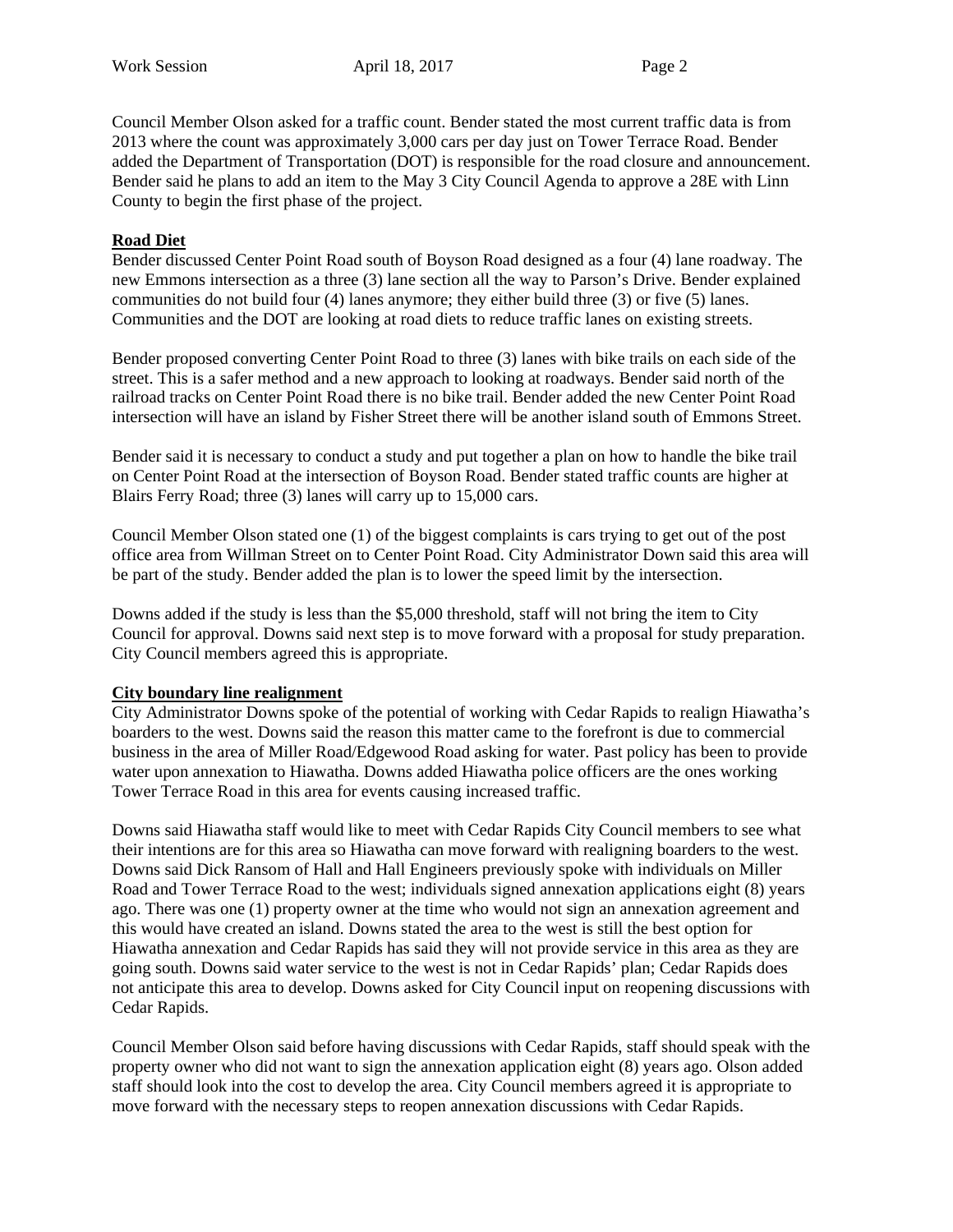Council Member Olson asked for a traffic count. Bender stated the most current traffic data is from 2013 where the count was approximately 3,000 cars per day just on Tower Terrace Road. Bender added the Department of Transportation (DOT) is responsible for the road closure and announcement. Bender said he plans to add an item to the May 3 City Council Agenda to approve a 28E with Linn County to begin the first phase of the project.

## **Road Diet**

Bender discussed Center Point Road south of Boyson Road designed as a four (4) lane roadway. The new Emmons intersection as a three (3) lane section all the way to Parson's Drive. Bender explained communities do not build four (4) lanes anymore; they either build three (3) or five (5) lanes. Communities and the DOT are looking at road diets to reduce traffic lanes on existing streets.

Bender proposed converting Center Point Road to three (3) lanes with bike trails on each side of the street. This is a safer method and a new approach to looking at roadways. Bender said north of the railroad tracks on Center Point Road there is no bike trail. Bender added the new Center Point Road intersection will have an island by Fisher Street there will be another island south of Emmons Street.

Bender said it is necessary to conduct a study and put together a plan on how to handle the bike trail on Center Point Road at the intersection of Boyson Road. Bender stated traffic counts are higher at Blairs Ferry Road; three (3) lanes will carry up to 15,000 cars.

Council Member Olson stated one (1) of the biggest complaints is cars trying to get out of the post office area from Willman Street on to Center Point Road. City Administrator Down said this area will be part of the study. Bender added the plan is to lower the speed limit by the intersection.

Downs added if the study is less than the \$5,000 threshold, staff will not bring the item to City Council for approval. Downs said next step is to move forward with a proposal for study preparation. City Council members agreed this is appropriate.

## **City boundary line realignment**

City Administrator Downs spoke of the potential of working with Cedar Rapids to realign Hiawatha's boarders to the west. Downs said the reason this matter came to the forefront is due to commercial business in the area of Miller Road/Edgewood Road asking for water. Past policy has been to provide water upon annexation to Hiawatha. Downs added Hiawatha police officers are the ones working Tower Terrace Road in this area for events causing increased traffic.

Downs said Hiawatha staff would like to meet with Cedar Rapids City Council members to see what their intentions are for this area so Hiawatha can move forward with realigning boarders to the west. Downs said Dick Ransom of Hall and Hall Engineers previously spoke with individuals on Miller Road and Tower Terrace Road to the west; individuals signed annexation applications eight (8) years ago. There was one (1) property owner at the time who would not sign an annexation agreement and this would have created an island. Downs stated the area to the west is still the best option for Hiawatha annexation and Cedar Rapids has said they will not provide service in this area as they are going south. Downs said water service to the west is not in Cedar Rapids' plan; Cedar Rapids does not anticipate this area to develop. Downs asked for City Council input on reopening discussions with Cedar Rapids.

Council Member Olson said before having discussions with Cedar Rapids, staff should speak with the property owner who did not want to sign the annexation application eight (8) years ago. Olson added staff should look into the cost to develop the area. City Council members agreed it is appropriate to move forward with the necessary steps to reopen annexation discussions with Cedar Rapids.